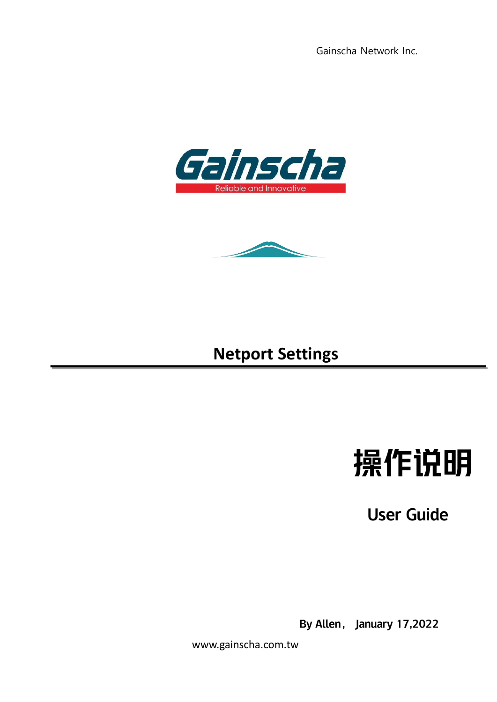Gainscha Network Inc.





## **Netport Settings**

# 操作说明

User Guide

By Allen, January 17,2022

www.gainscha.com.tw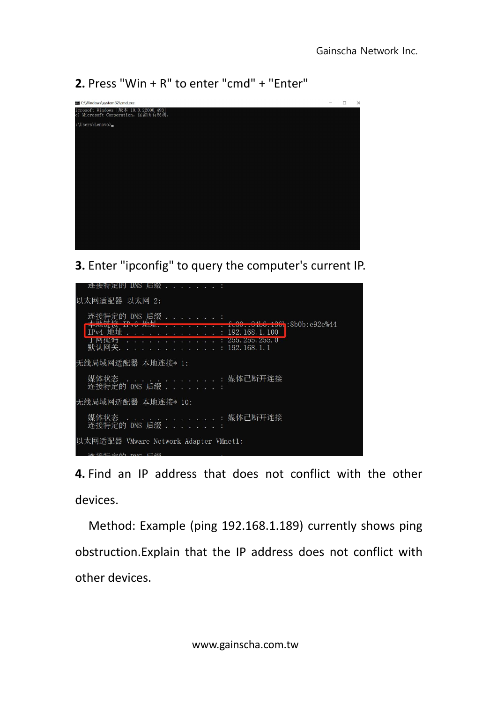**2.** Press "Win + R" to enter "cmd" + "Enter"

| C:\Windows\system32\cmd.exe                                              | $\Box$ | $\times$ |
|--------------------------------------------------------------------------|--------|----------|
| icrosoft Windows [版本 10.0.22000.493]<br>c) Microsoft Corporation。保留所有权利。 |        |          |
| :\Users\Lenovo>                                                          |        |          |
|                                                                          |        |          |
|                                                                          |        |          |
|                                                                          |        |          |
|                                                                          |        |          |
|                                                                          |        |          |
|                                                                          |        |          |
|                                                                          |        |          |
|                                                                          |        |          |
|                                                                          |        |          |
|                                                                          |        |          |

**3.** Enter "ipconfig" to query the computer's current IP.



**4.** Find an IP address that does not conflict with the other devices.

Method: Example (ping 192.168.1.189) currently shows ping obstruction.Explain that the IP address does not conflict with other devices.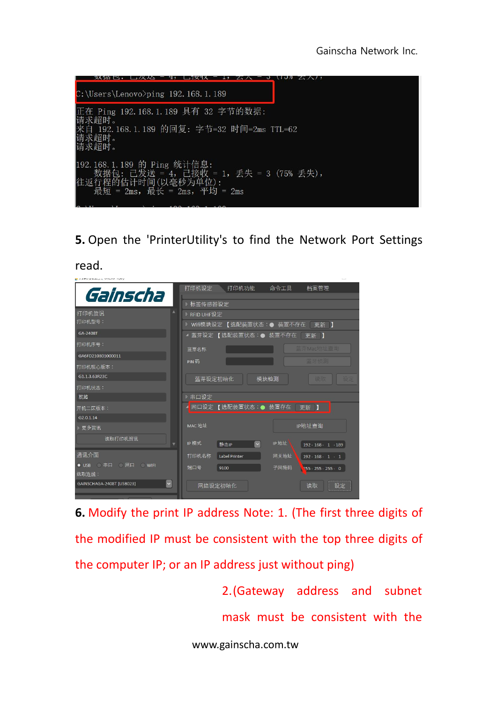

**5.** Open the 'PrinterUtility's to find the Network Port Settings

read.

| the production of the control of the p   |                                                                          |
|------------------------------------------|--------------------------------------------------------------------------|
| Gainscha                                 | 打印机设定<br>打印机功能<br>命令工具<br>档案管理                                           |
|                                          | ▷ 标签传感器设定                                                                |
| A<br>打印机资讯                               | ▶ RFID UHF设定                                                             |
| 打印机型号:                                   | ▷ Wifi模块设定 【选配装置状态:● 装置不存在<br>更新 】                                       |
| GA-2408T                                 | ▲ 蓝芽设定 【选配装置状态:● 装置不存在  更新 】                                             |
| 打印机序号:                                   | 蓝芽Mac地址查询<br>蓝芽名称                                                        |
| GA6FD210301000011                        |                                                                          |
| 打印机核心版本:                                 | 蓝牙侦测<br>PIN 码                                                            |
| G1.1.3.63R23C                            | 设定<br>蓝芽设定初始化<br>模块检测<br>读取                                              |
| 打印机状态:                                   |                                                                          |
| 就绪                                       | ▶ 串口设定                                                                   |
| 开机二区版本:                                  | 网口设定 【选配装置状态:● 装置存在<br>更新 】                                              |
| G <sub>2.0.1.14</sub>                    |                                                                          |
| ▷ 更多资讯                                   | MAC 地址<br>IP地址查询                                                         |
| 读取打印机资讯                                  |                                                                          |
|                                          | IP 地址<br>IP模式<br>$\vee$<br>静态IP<br>$192 \cdot 168 \cdot 1 \cdot 189$     |
| 通讯介面                                     | 打印机名称<br>网关地址<br><b>Label Printer</b><br>$192 \cdot 168 \cdot 1 \cdot 1$ |
| ● USB ● 串口 ● 网口 ● WIFI<br>选取连线:          | 端口号<br>子网掩码<br>9100<br>$255 \cdot 255 \cdot 255 \cdot 0$                 |
| $\check{~}$<br>GAINSCHAGA-2408T [USB023] | 网络设定初始化<br>读取<br>设定                                                      |

**6.** Modify the print IP address Note: 1. (The first three digits of the modified IP must be consistent with the top three digits of the computer IP; or an IP address just without ping)

> 2.(Gateway address and subnet mask must be consistent with the

www.gainscha.com.tw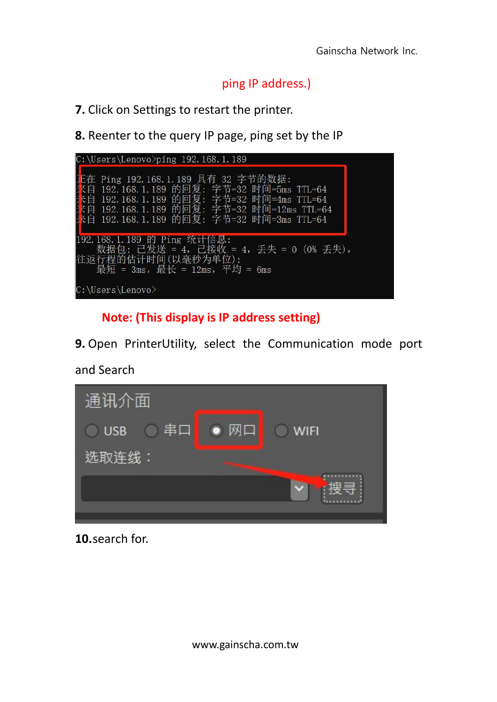#### ping IP address.)

**7.** Click on Settings to restart the printer.

**8.** Reenter to the query IP page, ping set by the IP

| $C:\Upsilon\$ C: $\Upsilon$ C: $\Upsilon$                                                                                                                                                                     |  |
|---------------------------------------------------------------------------------------------------------------------------------------------------------------------------------------------------------------|--|
| Ping 192.168.1.189 具有 32 字节的数据:<br>192.168.1.189 的回复: 字节=32 时间=5ms TTL=64<br>192.168.1.189 的回复: 字节=32 时间=4ms TTL=64<br>192.168.1.189 的回复: 字节=32 时间=12ms TTL=64<br>192.168.1.189 的回复: 字节=32 时间=3ms TTL=64<br>曰 |  |
| 192.168.1.189 的 Ping 统计信息:<br>数据包: 已发送 = 4,已接收 = 4,丢失 = 0(0% 丢失),<br>往返行程的估计时间(以毫秒为单位):<br>最短 = 3ms, 最长 = 12ms, 平均 = 6ms                                                                                      |  |
| C:\Users\Lenovo>                                                                                                                                                                                              |  |

### **Note: (This display is IP address setting)**

**9.** Open PrinterUtility, select the Communication mode port

and Search



**10.**search for.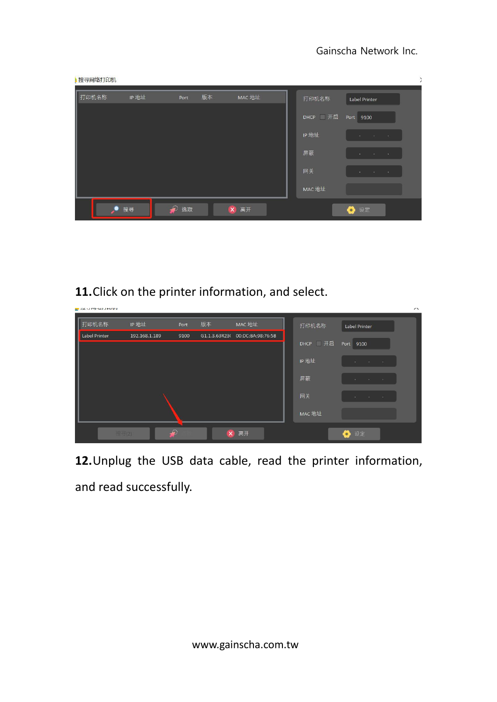| 搜寻网络打印机 |      |      |              |        |           |                               |  |
|---------|------|------|--------------|--------|-----------|-------------------------------|--|
| 打印机名称   | IP地址 | Port | 版本           | MAC 地址 | 打印机名称     | <b>Label Printer</b>          |  |
|         |      |      |              |        | DHCP   开启 | Port 9100                     |  |
|         |      |      |              |        | IP 地址     | ٠                             |  |
|         |      |      |              |        | 屏蔽        | <b>CONTRACTOR</b><br>16<br>×. |  |
|         |      |      |              |        | 网关        | ٠                             |  |
|         |      |      |              |        | MAC 地址    |                               |  |
|         | 搜寻   | 选取   | $\mathbf{x}$ | 离开     |           | ● 设定                          |  |

**11.**Click on the printer information, and select.

| <b>TX / TAX-HITHMA</b>    |               |      |          |                                 |         |                                                             | $\lambda$ |
|---------------------------|---------------|------|----------|---------------------------------|---------|-------------------------------------------------------------|-----------|
| I<br>打印机名称                | IP 地址         | Port | 版本       | MAC 地址                          | 打印机名称   | Label Printer                                               |           |
| I<br><b>Label Printer</b> | 192.168.1.189 | 9100 |          | G1.1.3.63R23( 00:DC:BA:98:76:5B | DHCP 开启 | Port 9100                                                   |           |
|                           |               |      |          |                                 | IP 地址   | <b>Contract Contract</b><br><b>COLLEGE</b><br>and the state |           |
|                           |               |      |          |                                 |         |                                                             |           |
|                           |               |      |          |                                 | 屏蔽      | <b>Contract Contract</b><br>$\sim$ 100 $\sim$ 100 $\sim$    |           |
|                           |               |      |          |                                 | 网关      | ٠<br>٠                                                      |           |
|                           |               |      |          |                                 | MAC 地址  |                                                             |           |
|                           | 搜寻(2)         |      | $\times$ | 离开                              |         | 设定                                                          |           |

**12.**Unplug the USB data cable, read the printer information, and read successfully.